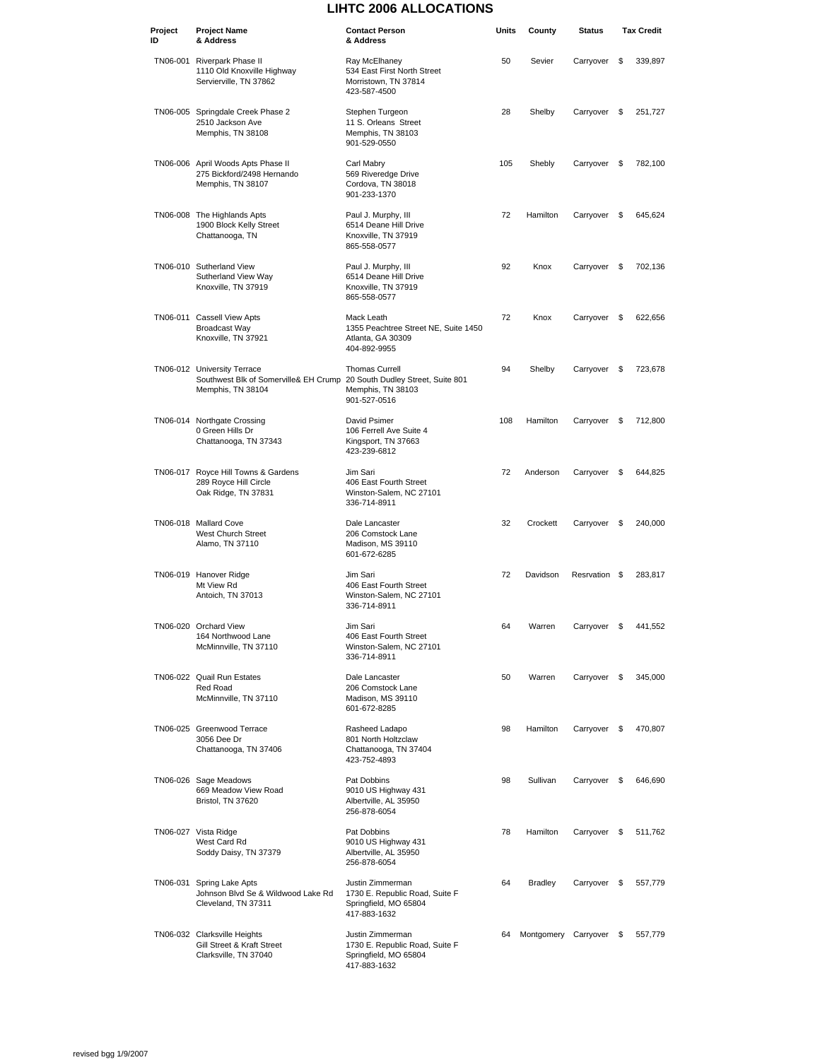## **LIHTC 2006 ALLOCATIONS**

| Project<br>ID | <b>Project Name</b><br>& Address                                                                                            | <b>Contact Person</b><br>& Address                                                          | Units | County                  | <b>Status</b> | <b>Tax Credit</b> |         |
|---------------|-----------------------------------------------------------------------------------------------------------------------------|---------------------------------------------------------------------------------------------|-------|-------------------------|---------------|-------------------|---------|
| TN06-001      | Riverpark Phase II<br>1110 Old Knoxville Highway<br>Servierville, TN 37862                                                  | Ray McElhaney<br>534 East First North Street<br>Morristown, TN 37814<br>423-587-4500        | 50    | Sevier                  | Carryover     | \$                | 339,897 |
|               | TN06-005 Springdale Creek Phase 2<br>2510 Jackson Ave<br>Memphis, TN 38108                                                  | Stephen Turgeon<br>11 S. Orleans Street<br>Memphis, TN 38103<br>901-529-0550                | 28    | Shelby                  | Carryover     | \$                | 251,727 |
|               | TN06-006 April Woods Apts Phase II<br>275 Bickford/2498 Hernando<br>Memphis, TN 38107                                       | Carl Mabry<br>569 Riveredge Drive<br>Cordova, TN 38018<br>901-233-1370                      | 105   | Shebly                  | Carryover     | \$                | 782,100 |
|               | TN06-008 The Highlands Apts<br>1900 Block Kelly Street<br>Chattanooga, TN                                                   | Paul J. Murphy, III<br>6514 Deane Hill Drive<br>Knoxville, TN 37919<br>865-558-0577         | 72    | Hamilton                | Carryover     | \$                | 645,624 |
|               | TN06-010 Sutherland View<br>Sutherland View Way<br>Knoxville, TN 37919                                                      | Paul J. Murphy, III<br>6514 Deane Hill Drive<br>Knoxville, TN 37919<br>865-558-0577         | 92    | Knox                    | Carryover     | \$                | 702,136 |
|               | TN06-011 Cassell View Apts<br><b>Broadcast Way</b><br>Knoxville, TN 37921                                                   | Mack Leath<br>1355 Peachtree Street NE, Suite 1450<br>Atlanta, GA 30309<br>404-892-9955     | 72    | Knox                    | Carryover \$  |                   | 622,656 |
|               | TN06-012 University Terrace<br>Southwest Blk of Somerville& EH Crump 20 South Dudley Street, Suite 801<br>Memphis, TN 38104 | <b>Thomas Currell</b><br>Memphis, TN 38103<br>901-527-0516                                  | 94    | Shelby                  | Carryover     | \$                | 723,678 |
|               | TN06-014 Northgate Crossing<br>0 Green Hills Dr<br>Chattanooga, TN 37343                                                    | David Psimer<br>106 Ferrell Ave Suite 4<br>Kingsport, TN 37663<br>423-239-6812              | 108   | Hamilton                | Carryover     | \$                | 712,800 |
|               | TN06-017 Royce Hill Towns & Gardens<br>289 Royce Hill Circle<br>Oak Ridge, TN 37831                                         | Jim Sari<br>406 East Fourth Street<br>Winston-Salem, NC 27101<br>336-714-8911               | 72    | Anderson                | Carryover     | \$                | 644,825 |
|               | TN06-018 Mallard Cove<br>West Church Street<br>Alamo, TN 37110                                                              | Dale Lancaster<br>206 Comstock Lane<br>Madison, MS 39110<br>601-672-6285                    | 32    | Crockett                | Carryover     | \$                | 240,000 |
|               | TN06-019 Hanover Ridge<br>Mt View Rd<br>Antoich, TN 37013                                                                   | Jim Sari<br>406 East Fourth Street<br>Winston-Salem, NC 27101<br>336-714-8911               | 72    | Davidson                | Resrvation \$ |                   | 283.817 |
|               | TN06-020 Orchard View<br>164 Northwood Lane<br>McMinnville, TN 37110                                                        | Jim Sari<br>406 East Fourth Street<br>Winston-Salem, NC 27101<br>336-714-8911               | 64    | Warren                  | Carryover \$  |                   | 441,552 |
|               | TN06-022 Quail Run Estates<br>Red Road<br>McMinnville, TN 37110                                                             | Dale Lancaster<br>206 Comstock Lane<br>Madison, MS 39110<br>601-672-8285                    | 50    | Warren                  | Carryover     | \$                | 345,000 |
|               | TN06-025 Greenwood Terrace<br>3056 Dee Dr<br>Chattanooga, TN 37406                                                          | Rasheed Ladapo<br>801 North Holtzclaw<br>Chattanooga, TN 37404<br>423-752-4893              | 98    | Hamilton                | Carryover     | \$                | 470,807 |
|               | TN06-026 Sage Meadows<br>669 Meadow View Road<br>Bristol, TN 37620                                                          | Pat Dobbins<br>9010 US Highway 431<br>Albertville, AL 35950<br>256-878-6054                 | 98    | Sullivan                | Carryover     | \$                | 646,690 |
|               | TN06-027 Vista Ridge<br>West Card Rd<br>Soddy Daisy, TN 37379                                                               | Pat Dobbins<br>9010 US Highway 431<br>Albertville, AL 35950<br>256-878-6054                 | 78    | Hamilton                | Carryover \$  |                   | 511,762 |
| TN06-031      | Spring Lake Apts<br>Johnson Blvd Se & Wildwood Lake Rd<br>Cleveland, TN 37311                                               | Justin Zimmerman<br>1730 E. Republic Road, Suite F<br>Springfield, MO 65804<br>417-883-1632 | 64    | <b>Bradley</b>          | Carryover     | \$                | 557,779 |
|               | TN06-032 Clarksville Heights<br>Gill Street & Kraft Street<br>Clarksville, TN 37040                                         | Justin Zimmerman<br>1730 E. Republic Road, Suite F<br>Springfield, MO 65804<br>417-883-1632 | 64    | Montgomery Carryover \$ |               |                   | 557,779 |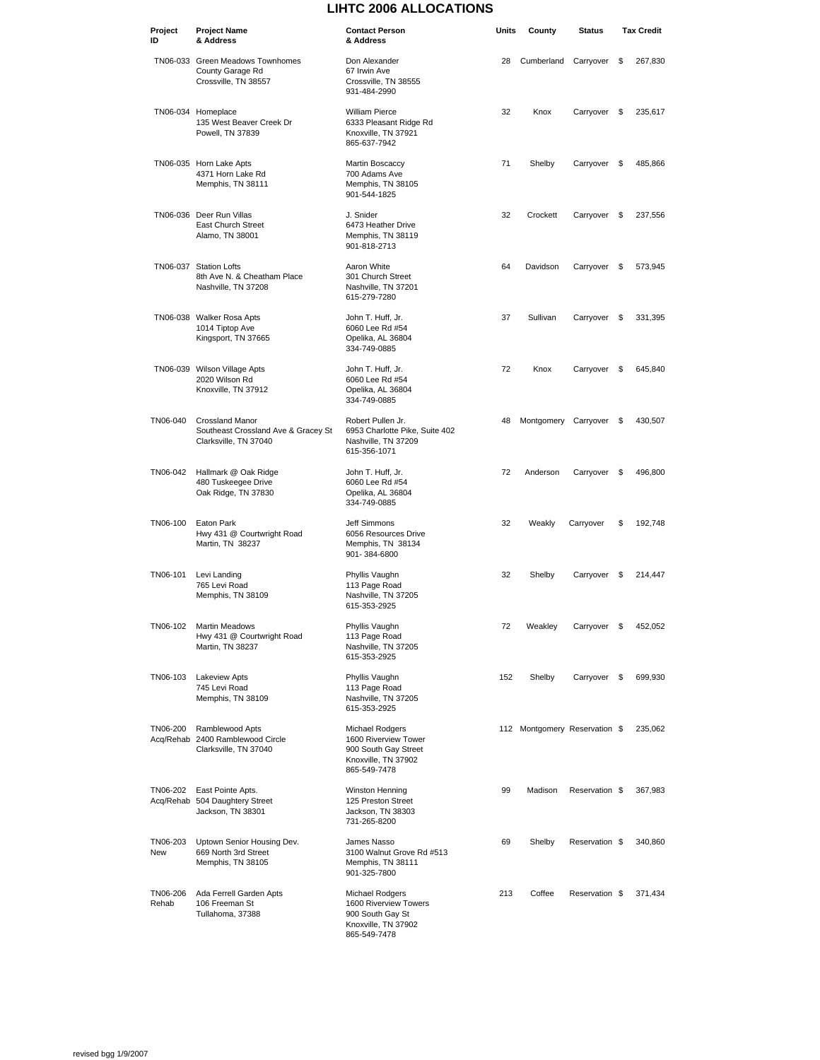## **LIHTC 2006 ALLOCATIONS**

| Project<br>ID         | <b>Project Name</b><br>& Address                                                       | <b>Contact Person</b><br>& Address                                                                     | Units | County                        | Status               | <b>Tax Credit</b> |
|-----------------------|----------------------------------------------------------------------------------------|--------------------------------------------------------------------------------------------------------|-------|-------------------------------|----------------------|-------------------|
|                       | TN06-033 Green Meadows Townhomes<br>County Garage Rd<br>Crossville, TN 38557           | Don Alexander<br>67 Irwin Ave<br>Crossville, TN 38555<br>931-484-2990                                  | 28    | Cumberland                    | Carryover            | \$<br>267,830     |
|                       | TN06-034 Homeplace<br>135 West Beaver Creek Dr<br>Powell, TN 37839                     | <b>William Pierce</b><br>6333 Pleasant Ridge Rd<br>Knoxville, TN 37921<br>865-637-7942                 | 32    | Knox                          | Carryover            | \$<br>235,617     |
|                       | TN06-035 Horn Lake Apts<br>4371 Horn Lake Rd<br>Memphis, TN 38111                      | Martin Boscaccy<br>700 Adams Ave<br>Memphis, TN 38105<br>901-544-1825                                  | 71    | Shelby                        | Carryover            | \$<br>485,866     |
|                       | TN06-036 Deer Run Villas<br><b>East Church Street</b><br>Alamo, TN 38001               | J. Snider<br>6473 Heather Drive<br>Memphis, TN 38119<br>901-818-2713                                   | 32    | Crockett                      | Carryover            | \$<br>237,556     |
|                       | TN06-037 Station Lofts<br>8th Ave N. & Cheatham Place<br>Nashville, TN 37208           | Aaron White<br>301 Church Street<br>Nashville, TN 37201<br>615-279-7280                                | 64    | Davidson                      | Carryover            | \$<br>573,945     |
|                       | TN06-038 Walker Rosa Apts<br>1014 Tiptop Ave<br>Kingsport, TN 37665                    | John T. Huff, Jr.<br>6060 Lee Rd #54<br>Opelika, AL 36804<br>334-749-0885                              | 37    | Sullivan                      | Carryover            | \$<br>331,395     |
|                       | TN06-039 Wilson Village Apts<br>2020 Wilson Rd<br>Knoxville, TN 37912                  | John T. Huff, Jr.<br>6060 Lee Rd #54<br>Opelika, AL 36804<br>334-749-0885                              | 72    | Knox                          | Carryover            | \$<br>645,840     |
| TN06-040              | <b>Crossland Manor</b><br>Southeast Crossland Ave & Gracey St<br>Clarksville, TN 37040 | Robert Pullen Jr.<br>6953 Charlotte Pike, Suite 402<br>Nashville, TN 37209<br>615-356-1071             | 48    |                               | Montgomery Carryover | \$<br>430,507     |
| TN06-042              | Hallmark @ Oak Ridge<br>480 Tuskeegee Drive<br>Oak Ridge, TN 37830                     | John T. Huff, Jr.<br>6060 Lee Rd #54<br>Opelika, AL 36804<br>334-749-0885                              | 72    | Anderson                      | Carryover            | \$<br>496,800     |
| TN06-100              | Eaton Park<br>Hwy 431 @ Courtwright Road<br>Martin, TN 38237                           | Jeff Simmons<br>6056 Resources Drive<br>Memphis, TN 38134<br>901-384-6800                              | 32    | Weakly                        | Carryover            | \$<br>192,748     |
| TN06-101              | Levi Landing<br>765 Levi Road<br>Memphis, TN 38109                                     | Phyllis Vaughn<br>113 Page Road<br>Nashville, TN 37205<br>615-353-2925                                 | 32    | Shelby                        | Carryover            | \$<br>214,447     |
| TN06-102              | Martin Meadows<br>Hwy 431 @ Courtwright Road<br>Martin, TN 38237                       | Phyllis Vaughn<br>113 Page Road<br>Nashville, TN 37205<br>615-353-2925                                 | 72    | Weakley                       | Carryover \$         | 452,052           |
| TN06-103              | Lakeview Apts<br>745 Levi Road<br>Memphis, TN 38109                                    | Phyllis Vaughn<br>113 Page Road<br>Nashville, TN 37205<br>615-353-2925                                 | 152   | Shelby                        | Carryover            | \$<br>699,930     |
| TN06-200<br>Acq/Rehab | Ramblewood Apts<br>2400 Ramblewood Circle<br>Clarksville, TN 37040                     | Michael Rodgers<br>1600 Riverview Tower<br>900 South Gay Street<br>Knoxville, TN 37902<br>865-549-7478 |       | 112 Montgomery Reservation \$ |                      | 235,062           |
| TN06-202              | East Pointe Apts.<br>Acq/Rehab 504 Daughtery Street<br>Jackson, TN 38301               | Winston Henning<br>125 Preston Street<br>Jackson, TN 38303<br>731-265-8200                             | 99    | Madison                       | Reservation \$       | 367,983           |
| TN06-203<br>New       | Uptown Senior Housing Dev.<br>669 North 3rd Street<br>Memphis, TN 38105                | James Nasso<br>3100 Walnut Grove Rd #513<br>Memphis, TN 38111<br>901-325-7800                          | 69    | Shelby                        | Reservation \$       | 340,860           |
| TN06-206<br>Rehab     | Ada Ferrell Garden Apts<br>106 Freeman St<br>Tullahoma, 37388                          | Michael Rodgers<br>1600 Riverview Towers<br>900 South Gay St<br>Knoxville, TN 37902<br>865-549-7478    | 213   | Coffee                        | Reservation \$       | 371,434           |